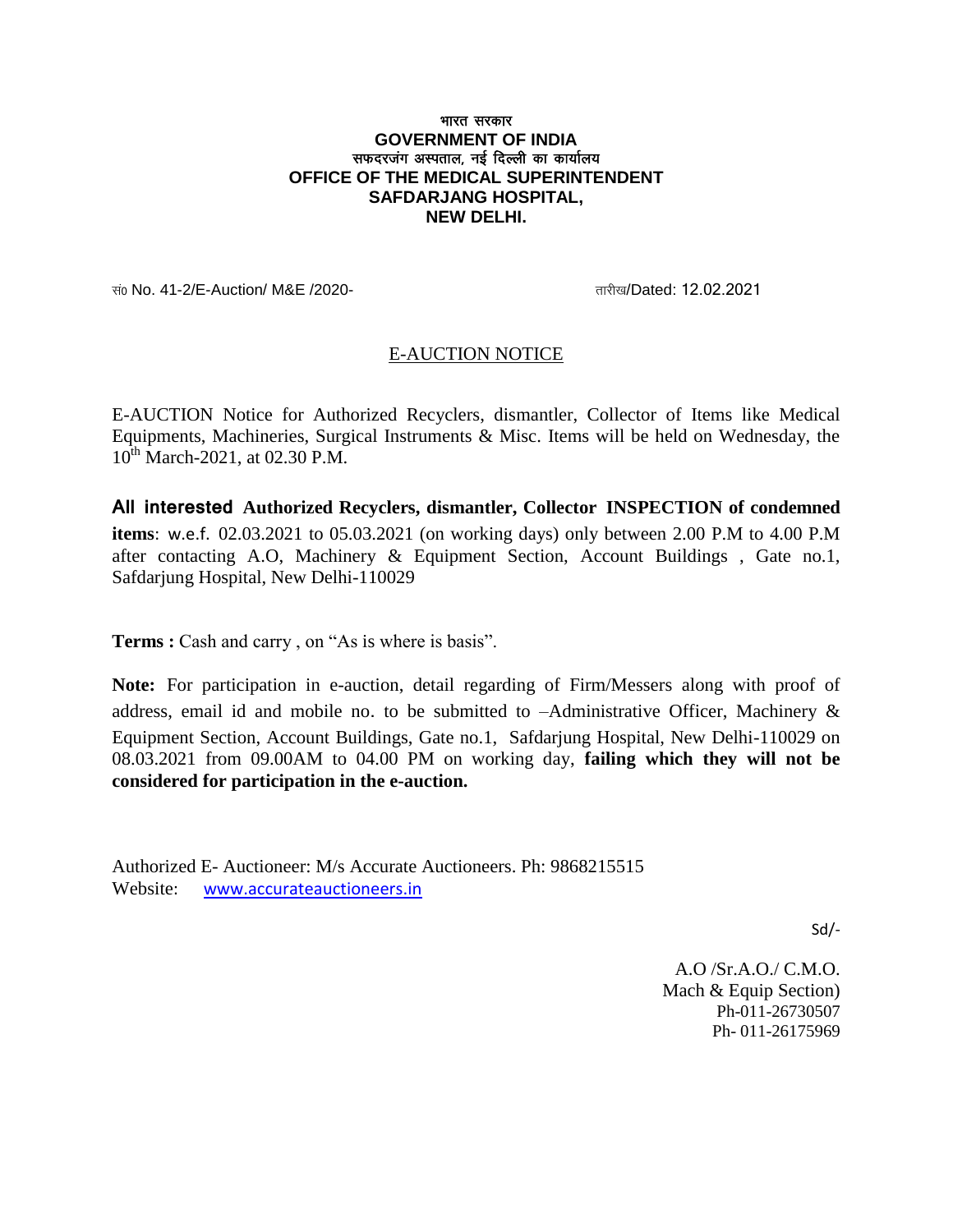## भारत सरकार **GOVERNMENT OF INDIA** सफदरजंग अस्पताल, नई दिल्ली का कार्यालय **OFFICE OF THE MEDICAL SUPERINTENDENT SAFDARJANG HOSPITAL, NEW DELHI.**

सं0 No. 41-2/E-Auction/ M&E /2020- स्वास्थ्या स्वास्थ्या स्वास्थ्या स्वास्थ्या स्वास्थ्या स्वास्थ्या स्वास्थ्य

## E-AUCTION NOTICE

E-AUCTION Notice for Authorized Recyclers, dismantler, Collector of Items like Medical Equipments, Machineries, Surgical Instruments & Misc. Items will be held on Wednesday, the  $10^{th}$  March-2021, at 02.30 P.M.

**All interested Authorized Recyclers, dismantler, Collector INSPECTION of condemned items**: w.e.f. 02.03.2021 to 05.03.2021 (on working days) only between 2.00 P.M to 4.00 P.M after contacting A.O, Machinery & Equipment Section, Account Buildings , Gate no.1, Safdarjung Hospital, New Delhi-110029

**Terms :** Cash and carry, on "As is where is basis".

**Note:** For participation in e-auction, detail regarding of Firm/Messers along with proof of address, email id and mobile no. to be submitted to –Administrative Officer, Machinery & Equipment Section, Account Buildings, Gate no.1, Safdarjung Hospital, New Delhi-110029 on 08.03.2021 from 09.00AM to 04.00 PM on working day, **failing which they will not be considered for participation in the e-auction.**

Authorized E- Auctioneer: M/s Accurate Auctioneers. Ph: 9868215515 Website: www.accurateauctioneers.in

Sd/-

A.O /Sr.A.O./ C.M.O. Mach & Equip Section) Ph-011-26730507 Ph- 011-26175969